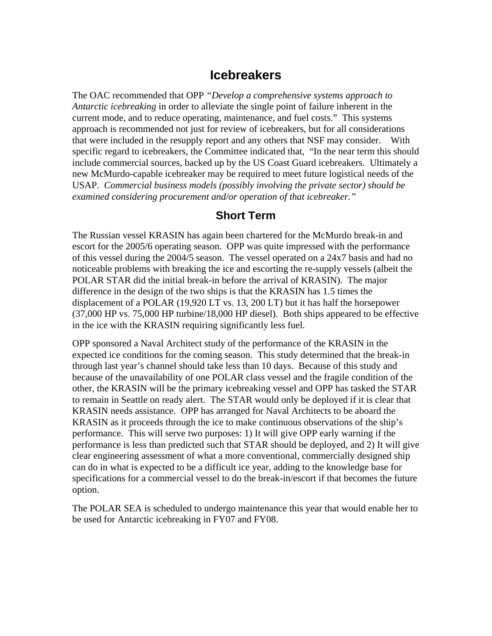## **Icebreakers**

The OAC recommended that OPP *"Develop a comprehensive systems approach to Antarctic icebreaking* in order to alleviate the single point of failure inherent in the current mode, and to reduce operating, maintenance, and fuel costs." This systems approach is recommended not just for review of icebreakers, but for all considerations that were included in the resupply report and any others that NSF may consider. With specific regard to icebreakers, the Committee indicated that, "In the near term this should include commercial sources, backed up by the US Coast Guard icebreakers. Ultimately a new McMurdo-capable icebreaker may be required to meet future logistical needs of the USAP. *Commercial business models (possibly involving the private sector) should be examined considering procurement and/or operation of that icebreaker."* 

## **Short Term**

The Russian vessel KRASIN has again been chartered for the McMurdo break-in and escort for the 2005/6 operating season. OPP was quite impressed with the performance of this vessel during the 2004/5 season. The vessel operated on a 24x7 basis and had no noticeable problems with breaking the ice and escorting the re-supply vessels (albeit the POLAR STAR did the initial break-in before the arrival of KRASIN). The major difference in the design of the two ships is that the KRASIN has 1.5 times the displacement of a POLAR (19,920 LT vs. 13, 200 LT) but it has half the horsepower (37,000 HP vs. 75,000 HP turbine/18,000 HP diesel). Both ships appeared to be effective in the ice with the KRASIN requiring significantly less fuel.

OPP sponsored a Naval Architect study of the performance of the KRASIN in the expected ice conditions for the coming season. This study determined that the break-in through last year's channel should take less than 10 days. Because of this study and because of the unavailability of one POLAR class vessel and the fragile condition of the other, the KRASIN will be the primary icebreaking vessel and OPP has tasked the STAR to remain in Seattle on ready alert. The STAR would only be deployed if it is clear that KRASIN needs assistance. OPP has arranged for Naval Architects to be aboard the KRASIN as it proceeds through the ice to make continuous observations of the ship's performance. This will serve two purposes: 1) It will give OPP early warning if the performance is less than predicted such that STAR should be deployed, and 2) It will give clear engineering assessment of what a more conventional, commercially designed ship can do in what is expected to be a difficult ice year, adding to the knowledge base for specifications for a commercial vessel to do the break-in/escort if that becomes the future option.

The POLAR SEA is scheduled to undergo maintenance this year that would enable her to be used for Antarctic icebreaking in FY07 and FY08.